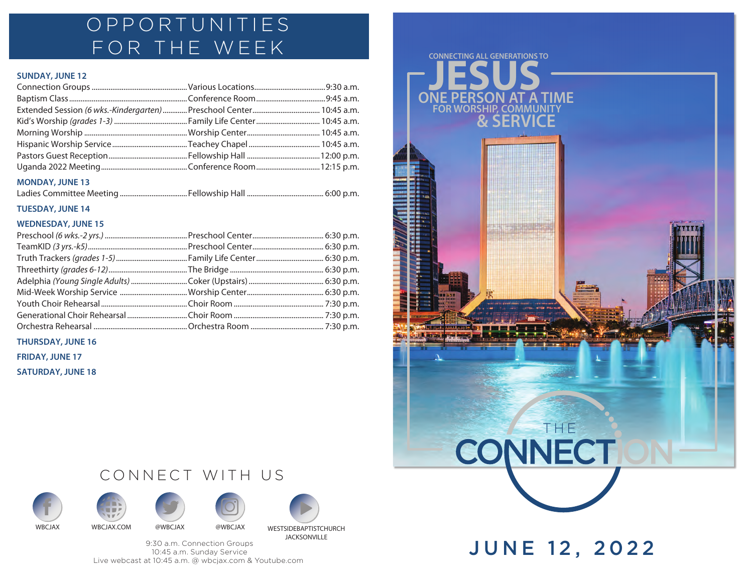## OPPORTUNITIES FOR THE WEEK

### **SUNDAY, JUNE 12**

| Extended Session (6 wks.-Kindergarten)  Preschool Center  10:45 a.m. |  |
|----------------------------------------------------------------------|--|
|                                                                      |  |
|                                                                      |  |
|                                                                      |  |
|                                                                      |  |
|                                                                      |  |

### **MONDAY, JUNE 13**

Ladies Committee Meeting .................................... Fellowship Hall ......................................... 6:00 p.m.

#### **TUESDAY, JUNE 14**

#### **WEDNESDAY, JUNE 15**

#### **THURSDAY, JUNE 16**

**FRIDAY, JUNE 17**

```
SATURDAY, JUNE 18
```






CONNECT WITH US





9:30 a.m. Connection Groups 10:45 a.m. Sunday Service Live webcast at 10:45 a.m. @ wbcjax.com & Youtube.com



JUNE 12, 2022